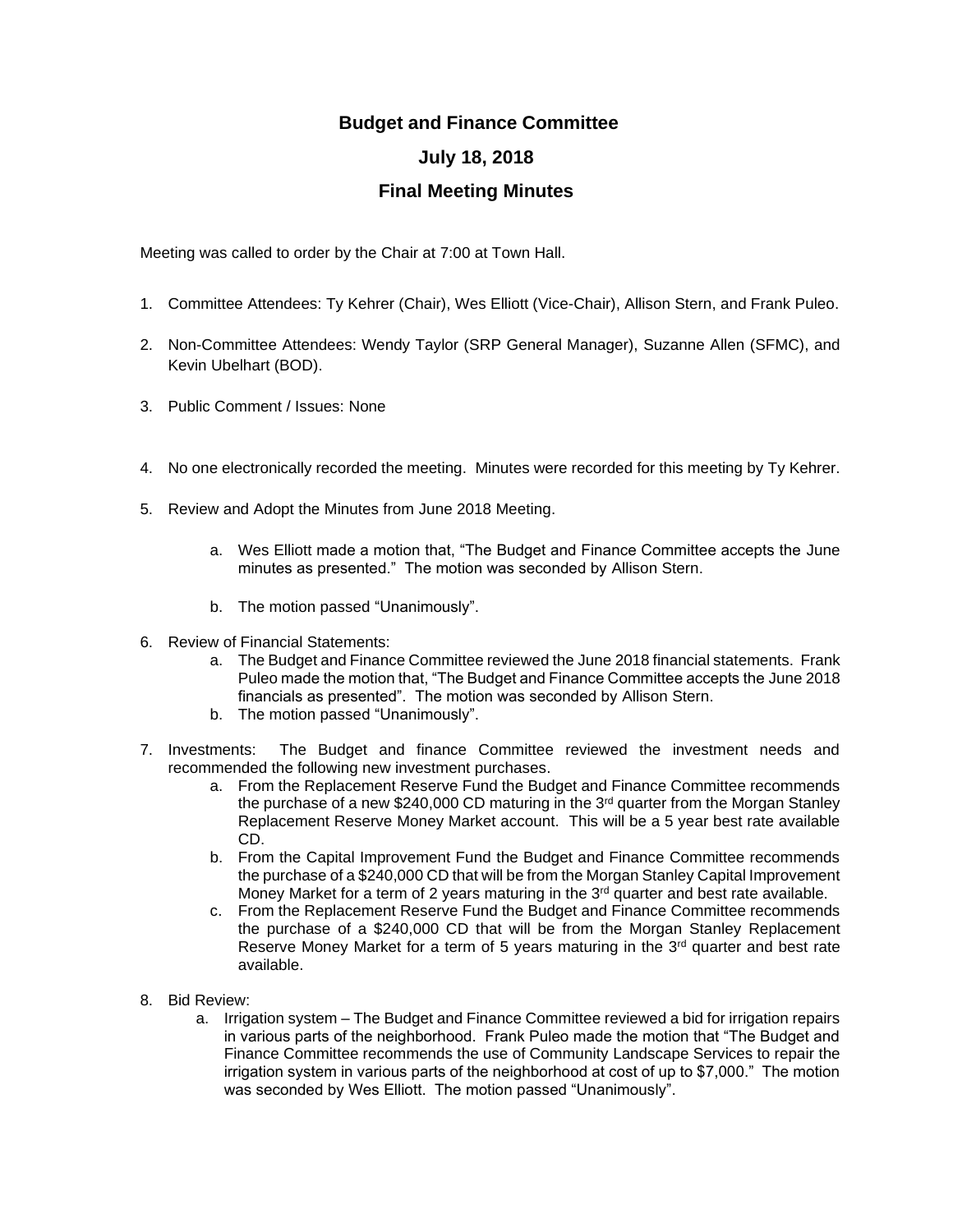## **Budget and Finance Committee July 18, 2018 Final Meeting Minutes**

Meeting was called to order by the Chair at 7:00 at Town Hall.

- 1. Committee Attendees: Ty Kehrer (Chair), Wes Elliott (Vice-Chair), Allison Stern, and Frank Puleo.
- 2. Non-Committee Attendees: Wendy Taylor (SRP General Manager), Suzanne Allen (SFMC), and Kevin Ubelhart (BOD).
- 3. Public Comment / Issues: None
- 4. No one electronically recorded the meeting. Minutes were recorded for this meeting by Ty Kehrer.
- 5. Review and Adopt the Minutes from June 2018 Meeting.
	- a. Wes Elliott made a motion that, "The Budget and Finance Committee accepts the June minutes as presented." The motion was seconded by Allison Stern.
	- b. The motion passed "Unanimously".
- 6. Review of Financial Statements:
	- a. The Budget and Finance Committee reviewed the June 2018 financial statements. Frank Puleo made the motion that, "The Budget and Finance Committee accepts the June 2018 financials as presented". The motion was seconded by Allison Stern.
	- b. The motion passed "Unanimously".
- 7. Investments: The Budget and finance Committee reviewed the investment needs and recommended the following new investment purchases.
	- a. From the Replacement Reserve Fund the Budget and Finance Committee recommends the purchase of a new \$240,000 CD maturing in the  $3<sup>rd</sup>$  quarter from the Morgan Stanley Replacement Reserve Money Market account. This will be a 5 year best rate available CD.
	- b. From the Capital Improvement Fund the Budget and Finance Committee recommends the purchase of a \$240,000 CD that will be from the Morgan Stanley Capital Improvement Money Market for a term of 2 years maturing in the  $3<sup>rd</sup>$  quarter and best rate available.
	- c. From the Replacement Reserve Fund the Budget and Finance Committee recommends the purchase of a \$240,000 CD that will be from the Morgan Stanley Replacement Reserve Money Market for a term of 5 years maturing in the  $3<sup>rd</sup>$  quarter and best rate available.
- 8. Bid Review:
	- a. Irrigation system The Budget and Finance Committee reviewed a bid for irrigation repairs in various parts of the neighborhood. Frank Puleo made the motion that "The Budget and Finance Committee recommends the use of Community Landscape Services to repair the irrigation system in various parts of the neighborhood at cost of up to \$7,000." The motion was seconded by Wes Elliott. The motion passed "Unanimously".